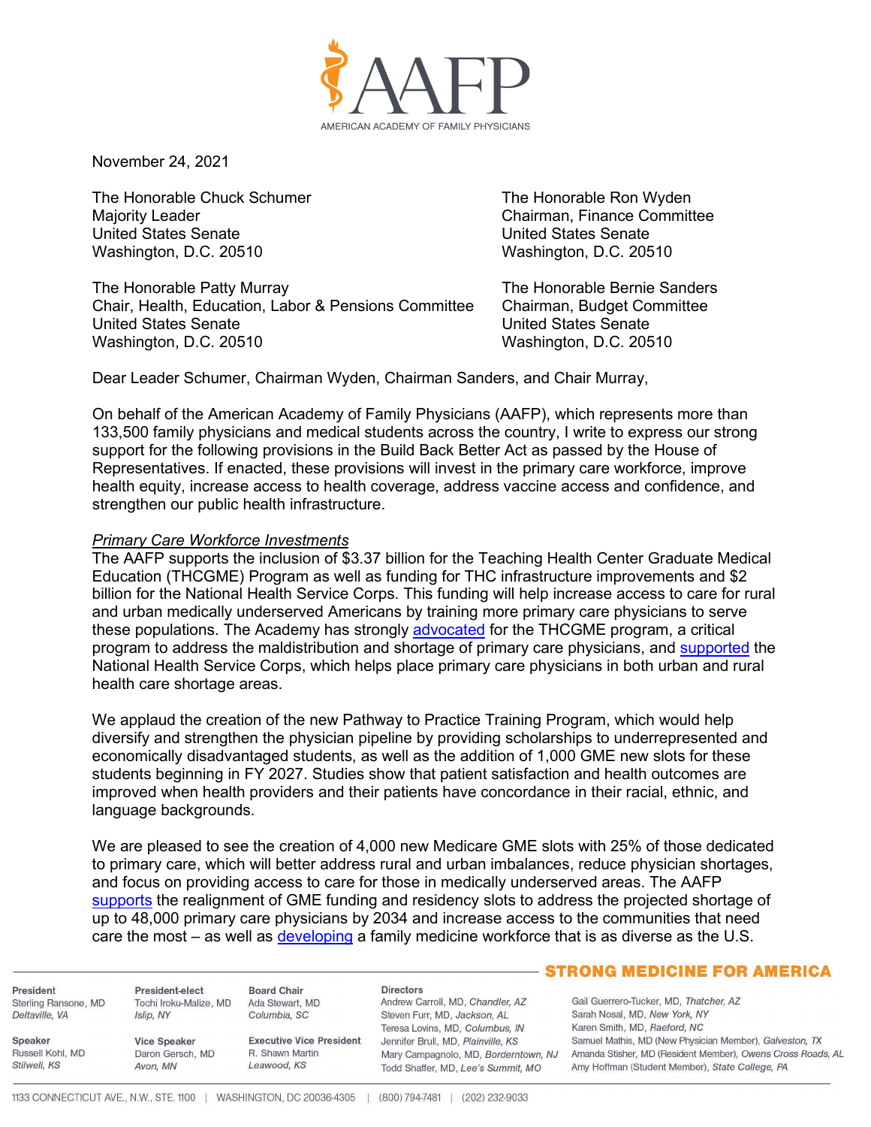

November 24, 2021

The Honorable Chuck Schumer The Honorable Ron Wyden Majority Leader Chairman, Finance Committee **United States Senate** Washington, D.C. 20510 Washington, D.C. 20510

The Honorable Patty Murray Network Sanders The Honorable Bernie Sanders Chair, Health, Education, Labor & Pensions Committee Chairman, Budget Committee United States Senate United States Senate Washington, D.C. 20510 Washington, D.C. 20510

Dear Leader Schumer, Chairman Wyden, Chairman Sanders, and Chair Murray,

On behalf of the American Academy of Family Physicians (AAFP), which represents more than 133,500 family physicians and medical students across the country, I write to express our strong support for the following provisions in the Build Back Better Act as passed by the House of Representatives. If enacted, these provisions will invest in the primary care workforce, improve health equity, increase access to health coverage, address vaccine access and confidence, and strengthen our public health infrastructure.

### *Primary Care Workforce Investments*

The AAFP supports the inclusion of \$3.37 billion for the Teaching Health Center Graduate Medical Education (THCGME) Program as well as funding for THC infrastructure improvements and \$2 billion for the National Health Service Corps. This funding will help increase access to care for rural and urban medically underserved Americans by training more primary care physicians to serve these populations. The Academy has strongly [advocated](https://www.aafp.org/dam/AAFP/documents/advocacy/workforce/gme/LT-Pallone-BuildBackBetter-091321.pdf) for the THCGME program, a critical program to address the maldistribution and shortage of primary care physicians, and [supported](https://www.aafp.org/about/policies/all/national-health-service-corps.html) the National Health Service Corps, which helps place primary care physicians in both urban and rural health care shortage areas.

We applaud the creation of the new Pathway to Practice Training Program, which would help diversify and strengthen the physician pipeline by providing scholarships to underrepresented and economically disadvantaged students, as well as the addition of 1,000 GME new slots for these students beginning in FY 2027. Studies show that patient satisfaction and health outcomes are improved when health providers and their patients have concordance in their racial, ethnic, and language backgrounds.

We are pleased to see the creation of 4,000 new Medicare GME slots with 25% of those dedicated to primary care, which will better address rural and urban imbalances, reduce physician shortages, and focus on providing access to care for those in medically underserved areas. The AAFP [supports](https://www.aafp.org/about/policies/all/graduate-medical-education-financing.html) the realignment of GME funding and residency slots to address the projected shortage of up to 48,000 primary care physicians by 2034 and increase access to the communities that need care the most – as well as *developing* a family medicine workforce that is as diverse as the U.S.

President Sterling Ransone, MD Deltaville, VA

Russell Kohl, MD

Speaker

Stilwell, KS

President-elect Tochi Iroku-Malize, MD Islip, NY

Avon, MN

**Board Chair** Ada Stewart, MD Columbia, SC

**Executive Vice President Vice Speaker** Daron Gersch, MD R. Shawn Martin Leawood, KS

#### **Directors**

Andrew Carroll, MD, Chandler, AZ Steven Furr, MD, Jackson, AL Teresa Lovins, MD, Columbus, IN Jennifer Brull, MD, Plainville, KS Todd Shaffer, MD, Lee's Summit, MO

## **STRONG MEDICINE FOR AMERICA**

Gail Guerrero-Tucker, MD, Thatcher, AZ Sarah Nosal, MD, New York, NY Karen Smith, MD, Raeford, NC Samuel Mathis, MD (New Physician Member), Galveston, TX Mary Campagnolo, MD, Borderntown, NJ Amanda Stisher, MD (Resident Member), Owens Cross Roads, AL Amy Hoffman (Student Member), State College, PA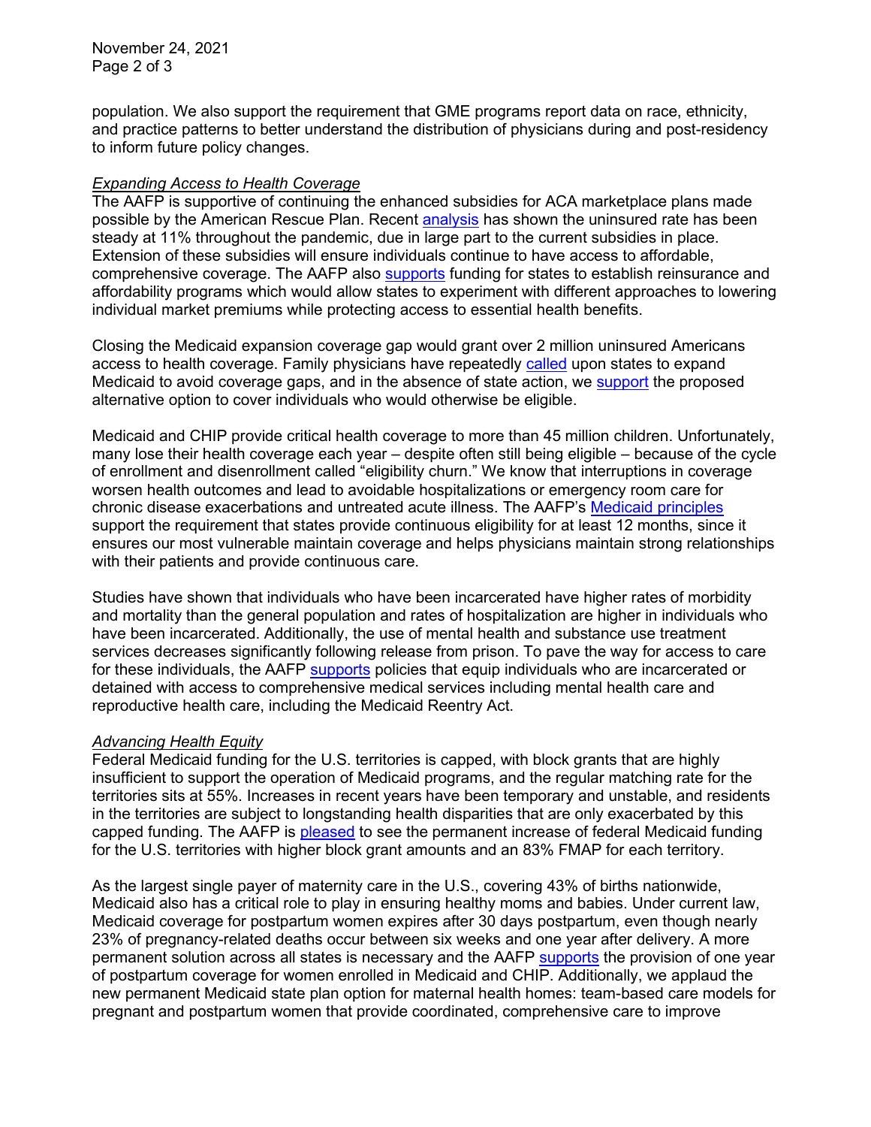November 24, 2021 Page 2 of 3

population. We also support the requirement that GME programs report data on race, ethnicity, and practice patterns to better understand the distribution of physicians during and post-residency to inform future policy changes.

# *Expanding Access to Health Coverage*

The AAFP is supportive of continuing the enhanced subsidies for ACA marketplace plans made possible by the American Rescue Plan. Recent [analysis](https://www.rwjf.org/en/library/research/2021/08/the-uninsurance-rate-held-steady-during-the-pandemic-as-public-coverage-increased.html) has shown the uninsured rate has been steady at 11% throughout the pandemic, due in large part to the current subsidies in place. Extension of these subsidies will ensure individuals continue to have access to affordable, comprehensive coverage. The AAFP also [supports](https://www.aafp.org/dam/AAFP/documents/advocacy/coverage/aca/ST-ACCPrinciples.pdf) funding for states to establish reinsurance and affordability programs which would allow states to experiment with different approaches to lowering individual market premiums while protecting access to essential health benefits.

Closing the Medicaid expansion coverage gap would grant over 2 million uninsured Americans access to health coverage. Family physicians have repeatedly [called](https://www.aafp.org/about/policies/all/medicaid-services.html) upon states to expand Medicaid to avoid coverage gaps, and in the absence of state action, we [support](https://www.aafp.org/about/policies/all/health-care-for-all.html) the proposed alternative option to cover individuals who would otherwise be eligible.

Medicaid and CHIP provide critical health coverage to more than 45 million children. Unfortunately, many lose their health coverage each year – despite often still being eligible – because of the cycle of enrollment and disenrollment called "eligibility churn." We know that interruptions in coverage worsen health outcomes and lead to avoidable hospitalizations or emergency room care for chronic disease exacerbations and untreated acute illness. The AAFP's [Medicaid principles](https://www.aafp.org/about/policies/all/medicaid-principles.html) support the requirement that states provide continuous eligibility for at least 12 months, since it ensures our most vulnerable maintain coverage and helps physicians maintain strong relationships with their patients and provide continuous care.

Studies have shown that individuals who have been incarcerated have higher rates of morbidity and mortality than the general population and rates of hospitalization are higher in individuals who have been incarcerated. Additionally, the use of mental health and substance use treatment services decreases significantly following release from prison. To pave the way for access to care for these individuals, the AAFP [supports](https://www.aafp.org/about/policies/all/incarceration.html#after) policies that equip individuals who are incarcerated or detained with access to comprehensive medical services including mental health care and reproductive health care, including the Medicaid Reentry Act.

# *Advancing Health Equity*

Federal Medicaid funding for the U.S. territories is capped, with block grants that are highly insufficient to support the operation of Medicaid programs, and the regular matching rate for the territories sits at 55%. Increases in recent years have been temporary and unstable, and residents in the territories are subject to longstanding health disparities that are only exacerbated by this capped funding. The AAFP is [pleased](https://www.aafp.org/dam/AAFP/documents/advocacy/coverage/medicaid/TS-EC-TerritoryMedicaidFunding-031721.pdf) to see the permanent increase of federal Medicaid funding for the U.S. territories with higher block grant amounts and an 83% FMAP for each territory.

As the largest single payer of maternity care in the U.S., covering 43% of births nationwide, Medicaid also has a critical role to play in ensuring healthy moms and babies. Under current law, Medicaid coverage for postpartum women expires after 30 days postpartum, even though nearly 23% of pregnancy-related deaths occur between six weeks and one year after delivery. A more permanent solution across all states is necessary and the AAFP [supports](https://www.aafp.org/dam/AAFP/documents/advocacy/coverage/medicaid/LT-Congress-P4MPostPartumCoverage-09921.pdf) the provision of one year of postpartum coverage for women enrolled in Medicaid and CHIP. Additionally, we applaud the new permanent Medicaid state plan option for maternal health homes: team-based care models for pregnant and postpartum women that provide coordinated, comprehensive care to improve